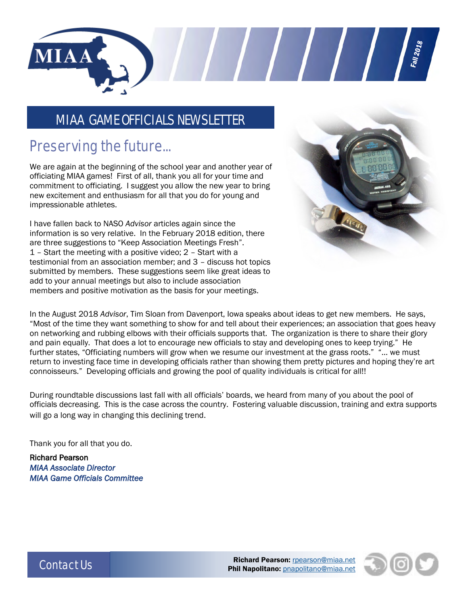

#### MIAA GAME OFFICIALS NEWSLETTER

## Preserving the future...

We are again at the beginning of the school year and another year of officiating MIAA games! First of all, thank you all for your time and commitment to officiating. I suggest you allow the new year to bring new excitement and enthusiasm for all that you do for young and impressionable athletes.

I have fallen back to NASO *Advisor* articles again since the information is so very relative. In the February 2018 edition, there are three suggestions to "Keep Association Meetings Fresh". 1 – Start the meeting with a positive video; 2 – Start with a testimonial from an association member; and 3 – discuss hot topics submitted by members. These suggestions seem like great ideas to add to your annual meetings but also to include association members and positive motivation as the basis for your meetings.



Fall 2018

In the August 2018 *Advisor*, Tim Sloan from Davenport, Iowa speaks about ideas to get new members. He says, "Most of the time they want something to show for and tell about their experiences; an association that goes heavy on networking and rubbing elbows with their officials supports that. The organization is there to share their glory and pain equally. That does a lot to encourage new officials to stay and developing ones to keep trying." He further states, "Officiating numbers will grow when we resume our investment at the grass roots." "… we must return to investing face time in developing officials rather than showing them pretty pictures and hoping they're art connoisseurs." Developing officials and growing the pool of quality individuals is critical for all!!

During roundtable discussions last fall with all officials' boards, we heard from many of you about the pool of officials decreasing. This is the case across the country. Fostering valuable discussion, training and extra supports will go a long way in changing this declining trend.

Thank you for all that you do.

Richard Pearson *MIAA Associate Director MIAA Game Officials Committee* 



Contact Us **Richard Pearson:** [rpearson@miaa.net](mailto:rpearson@miaa.net) Phil Napolitano: [pnapolitano@miaa.net](mailto:pnapolitano@miaa.net)

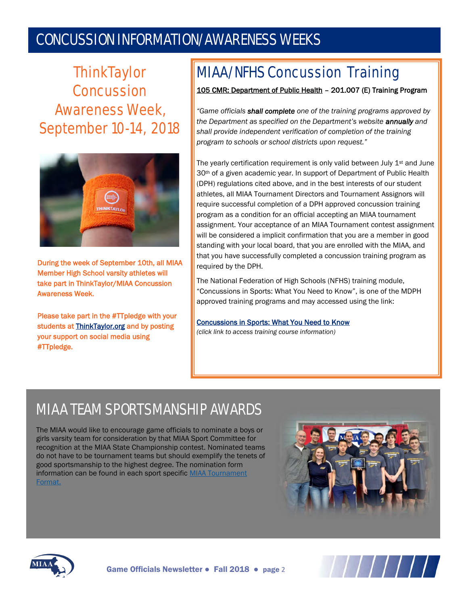## CONCUSSION INFORMATION/AWARENESS WEEKS

**ThinkTaylor** Concussion Awareness Week, September 10-14, 2018



During the week of September 10th, all MIAA Member High School varsity athletes will take part in ThinkTaylor/MIAA Concussion Awareness Week.

Please take part in the #TTpledge with your students at **ThinkTaylor.org** and by posting your support on social media using #TTpledge.

# MIAA/NFHS Concussion Training

#### 105 CMR: Department of Public Health – 201.007 (E) Training Program

*"Game officials shall complete one of the training programs approved by the Department as specified on the Department's website annually and shall provide independent verification of completion of the training program to schools or school districts upon request."*

The yearly certification requirement is only valid between July 1<sup>st</sup> and June 30<sup>th</sup> of a given academic year. In support of Department of Public Health (DPH) regulations cited above, and in the best interests of our student athletes, all MIAA Tournament Directors and Tournament Assignors will require successful completion of a DPH approved concussion training program as a condition for an official accepting an MIAA tournament assignment. Your acceptance of an MIAA Tournament contest assignment will be considered a implicit confirmation that you are a member in good standing with your local board, that you are enrolled with the MIAA, and that you have successfully completed a concussion training program as required by the DPH.

The National Federation of High Schools (NFHS) training module, "Concussions in Sports: What You Need to Know", is one of the MDPH approved training programs and may accessed using the link:

[Concussions in Sports: What You Need to Know](https://nfhslearn.com/courses/61151/concussion-in-sports) *(click link to access training course information)*

# MIAA TEAM SPORTSMANSHIP AWARDS

The MIAA would like to encourage game officials to nominate a boys or girls varsity team for consideration by that MIAA Sport Committee for recognition at the MIAA State Championship contest. Nominated teams do not have to be tournament teams but should exemplify the tenets of good sportsmanship to the highest degree. The nomination form information can be found in each sport specific MIAA Tournament [Format.](http://www.miaa.net/contentm/easy_pages/view.php?page_id=22&sid=38&menu_id=207)





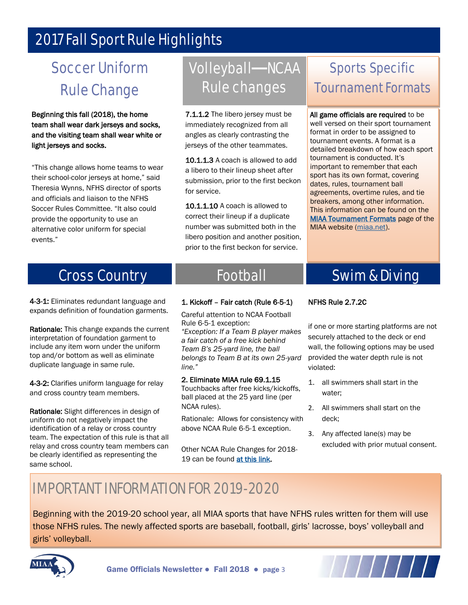## 2017 Fall Sport Rule Highlights

# Soccer Uniform Rule Change

Beginning this fall (2018), the home team shall wear dark jerseys and socks, and the visiting team shall wear white or light jerseys and socks.

"This change allows home teams to wear their school-color jerseys at home," said Theresia Wynns, NFHS director of sports and officials and liaison to the NFHS Soccer Rules Committee. "It also could provide the opportunity to use an alternative color uniform for special events."

## Volleyball—NCAA Rule changes

7.1.1.2 The libero jersey must be immediately recognized from all angles as clearly contrasting the jerseys of the other teammates.

10.1.1.3 A coach is allowed to add a libero to their lineup sheet after submission, prior to the first beckon for service.

10.1.1.10 A coach is allowed to correct their lineup if a duplicate number was submitted both in the libero position and another position, prior to the first beckon for service.

## Sports Specific Tournament Formats

All game officials are required to be well versed on their sport tournament format in order to be assigned to tournament events. A format is a detailed breakdown of how each sport tournament is conducted. It's important to remember that each sport has its own format, covering dates, rules, tournament ball agreements, overtime rules, and tie breakers, among other information. This information can be found on the **MIAA Tournament Formats** page of the MIAA website [\(miaa.net\).](http://www.miaa.net/miaa/home?sid=38)

## Cross Country

4-3-1: Eliminates redundant language and expands definition of foundation garments.

Rationale: This change expands the current interpretation of foundation garment to include any item worn under the uniform top and/or bottom as well as eliminate duplicate language in same rule.

4-3-2: Clarifies uniform language for relay and cross country team members.

Rationale: Slight differences in design of uniform do not negatively impact the identification of a relay or cross country team. The expectation of this rule is that all relay and cross country team members can be clearly identified as representing the same school.

## Football

#### 1. Kickoff – Fair catch (Rule 6-5-1)

Careful attention to NCAA Football Rule 6-5-1 exception:

*"Exception: If a Team B player makes a fair catch of a free kick behind Team B's 25-yard line, the ball belongs to Team B at its own 25-yard line."*

#### 2. Eliminate MIAA rule 69.1.15

Touchbacks after free kicks/kickoffs, ball placed at the 25 yard line (per NCAA rules).

Rationale: Allows for consistency with above NCAA Rule 6-5-1 exception.

Other NCAA Rule Changes for 2018- 19 can be found at this link.

## Swim & Diving

#### NFHS Rule 2.7.2C

if one or more starting platforms are not securely attached to the deck or end wall, the following options may be used provided the water depth rule is not violated:

- 1. all swimmers shall start in the water;
- 2. All swimmers shall start on the deck;
- 3. Any affected lane(s) may be excluded with prior mutual consent.

## IMPORTANT INFORMATION FOR 2019-2020

Beginning with the 2019-20 school year, all MIAA sports that have NFHS rules written for them will use those NFHS rules. The newly affected sports are baseball, football, girls' lacrosse, boys' volleyball and girls' volleyball.



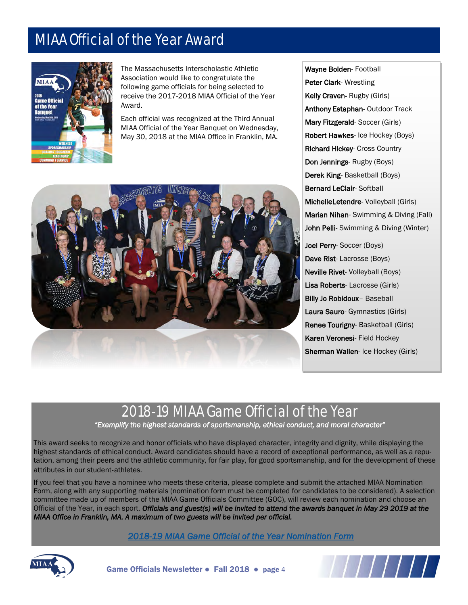## MIAA Official of the Year Award



The Massachusetts Interscholastic Athletic Association would like to congratulate the following game officials for being selected to receive the 2017-2018 MIAA Official of the Year Award.

Each official was recognized at the Third Annual MIAA Official of the Year Banquet on Wednesday, May 30, 2018 at the MIAA Office in Franklin, MA.



Wayne Bolden- Football Peter Clark- Wrestling Kelly Craven- Rugby (Girls) Anthony Estaphan- Outdoor Track Mary Fitzgerald- Soccer (Girls) Robert Hawkes- Ice Hockey (Boys) Richard Hickey- Cross Country Don Jennings- Rugby (Boys) Derek King- Basketball (Boys) Bernard LeClair- Softball Michelle Letendre- Volleyball (Girls) Marian Nihan- Swimming & Diving (Fall) John Pelli- Swimming & Diving (Winter) Joel Perry- Soccer (Boys) Dave Rist- Lacrosse (Boys)

Neville Rivet- Volleyball (Boys) Lisa Roberts- Lacrosse (Girls) Billy Jo Robidoux- Baseball Laura Sauro- Gymnastics (Girls) Renee Tourigny- Basketball (Girls) Karen Veronesi- Field Hockey Sherman Wallen- Ice Hockey (Girls)

### 2018-19 MIAA Game Official of the Year

*"Exemplify the highest standards of sportsmanship, ethical conduct, and moral character"*

This award seeks to recognize and honor officials who have displayed character, integrity and dignity, while displaying the highest standards of ethical conduct. Award candidates should have a record of exceptional performance, as well as a reputation, among their peers and the athletic community, for fair play, for good sportsmanship, and for the development of these attributes in our student‐athletes.

If you feel that you have a nominee who meets these criteria, please complete and submit the attached MIAA Nomination Form, along with any supporting materials (nomination form must be completed for candidates to be considered). A selection committee made up of members of the MIAA Game Officials Committee (GOC), will review each nomination and choose an Official of the Year, in each sport. *Officials and guest(s) will be invited to attend the awards banquet in May 29 2019 at the MIAA Office in Franklin, MA. A maximum of two guests will be invited per official.* 

 *[2018-19 MIAA Game Official of the Year Nomination Form](http://miaa.net/gen/miaa_generated_bin/documents/basic_module/officialofyearnominationform1819.pdf)*